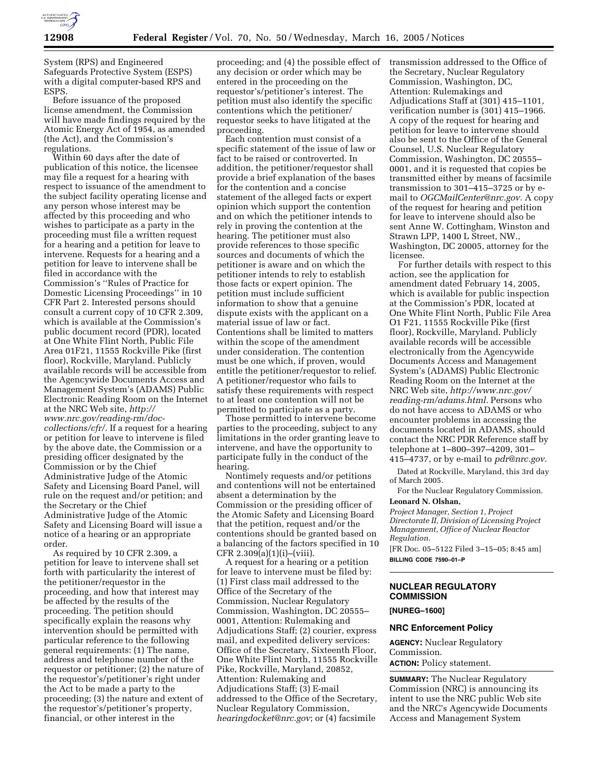

System (RPS) and Engineered Safeguards Protective System (ESPS) with a digital computer-based RPS and ESPS.

Before issuance of the proposed license amendment, the Commission will have made findings required by the Atomic Energy Act of 1954, as amended (the Act), and the Commission's regulations.

Within 60 days after the date of publication of this notice, the licensee may file a request for a hearing with respect to issuance of the amendment to the subject facility operating license and any person whose interest may be affected by this proceeding and who wishes to participate as a party in the proceeding must file a written request for a hearing and a petition for leave to intervene. Requests for a hearing and a petition for leave to intervene shall be filed in accordance with the Commission's ''Rules of Practice for Domestic Licensing Proceedings'' in 10 CFR Part 2. Interested persons should consult a current copy of 10 CFR 2.309, which is available at the Commission's public document record (PDR), located at One White Flint North, Public File Area 01F21, 11555 Rockville Pike (first floor), Rockville, Maryland. Publicly available records will be accessible from the Agencywide Documents Access and Management System's (ADAMS) Public Electronic Reading Room on the Internet at the NRC Web site, *http:// www.nrc.gov/reading-rm/doccollections/cfr/.* If a request for a hearing or petition for leave to intervene is filed by the above date, the Commission or a presiding officer designated by the Commission or by the Chief Administrative Judge of the Atomic Safety and Licensing Board Panel, will rule on the request and/or petition; and the Secretary or the Chief Administrative Judge of the Atomic Safety and Licensing Board will issue a notice of a hearing or an appropriate order.

As required by 10 CFR 2.309, a petition for leave to intervene shall set forth with particularity the interest of the petitioner/requestor in the proceeding, and how that interest may be affected by the results of the proceeding. The petition should specifically explain the reasons why intervention should be permitted with particular reference to the following general requirements: (1) The name, address and telephone number of the requestor or petitioner; (2) the nature of the requestor's/petitioner's right under the Act to be made a party to the proceeding; (3) the nature and extent of the requestor's/petitioner's property, financial, or other interest in the

proceeding; and (4) the possible effect of any decision or order which may be entered in the proceeding on the requestor's/petitioner's interest. The petition must also identify the specific contentions which the petitioner/ requestor seeks to have litigated at the proceeding.

Each contention must consist of a specific statement of the issue of law or fact to be raised or controverted. In addition, the petitioner/requestor shall provide a brief explanation of the bases for the contention and a concise statement of the alleged facts or expert opinion which support the contention and on which the petitioner intends to rely in proving the contention at the hearing. The petitioner must also provide references to those specific sources and documents of which the petitioner is aware and on which the petitioner intends to rely to establish those facts or expert opinion. The petition must include sufficient information to show that a genuine dispute exists with the applicant on a material issue of law or fact. Contentions shall be limited to matters within the scope of the amendment under consideration. The contention must be one which, if proven, would entitle the petitioner/requestor to relief. A petitioner/requestor who fails to satisfy these requirements with respect to at least one contention will not be permitted to participate as a party.

Those permitted to intervene become parties to the proceeding, subject to any limitations in the order granting leave to intervene, and have the opportunity to participate fully in the conduct of the hearing.

Nontimely requests and/or petitions and contentions will not be entertained absent a determination by the Commission or the presiding officer of the Atomic Safety and Licensing Board that the petition, request and/or the contentions should be granted based on a balancing of the factors specified in 10 CFR 2.309(a)(1)(i)–(viii).

A request for a hearing or a petition for leave to intervene must be filed by: (1) First class mail addressed to the Office of the Secretary of the Commission, Nuclear Regulatory Commission, Washington, DC 20555– 0001, Attention: Rulemaking and Adjudications Staff; (2) courier, express mail, and expedited delivery services: Office of the Secretary, Sixteenth Floor, One White Flint North, 11555 Rockville Pike, Rockville, Maryland, 20852, Attention: Rulemaking and Adjudications Staff; (3) E-mail addressed to the Office of the Secretary, Nuclear Regulatory Commission, *hearingdocket@nrc.gov*; or (4) facsimile

transmission addressed to the Office of the Secretary, Nuclear Regulatory Commission, Washington, DC, Attention: Rulemakings and Adjudications Staff at (301) 415–1101, verification number is (301) 415–1966. A copy of the request for hearing and petition for leave to intervene should also be sent to the Office of the General Counsel, U.S. Nuclear Regulatory Commission, Washington, DC 20555– 0001, and it is requested that copies be transmitted either by means of facsimile transmission to 301–415–3725 or by email to *OGCMailCenter@nrc.gov.* A copy of the request for hearing and petition for leave to intervene should also be sent Anne W. Cottingham, Winston and Strawn LPP, 1400 L Street, NW., Washington, DC 20005, attorney for the licensee.

For further details with respect to this action, see the application for amendment dated February 14, 2005, which is available for public inspection at the Commission's PDR, located at One White Flint North, Public File Area O1 F21, 11555 Rockville Pike (first floor), Rockville, Maryland. Publicly available records will be accessible electronically from the Agencywide Documents Access and Management System's (ADAMS) Public Electronic Reading Room on the Internet at the NRC Web site, *http://www.nrc.gov/ reading-rm/adams.html.* Persons who do not have access to ADAMS or who encounter problems in accessing the documents located in ADAMS, should contact the NRC PDR Reference staff by telephone at 1–800–397–4209, 301– 415–4737, or by e-mail to *pdr@nrc.gov.*

Dated at Rockville, Maryland, this 3rd day of March 2005.

For the Nuclear Regulatory Commission.

#### **Leonard N. Olshan,**

*Project Manager, Section 1, Project Directorate II, Division of Licensing Project Management, Office of Nuclear Reactor Regulation.*

[FR Doc. 05–5122 Filed 3–15–05; 8:45 am] **BILLING CODE 7590–01–P**

# **NUCLEAR REGULATORY COMMISSION**

**[NUREG–1600]** 

### **NRC Enforcement Policy**

**AGENCY:** Nuclear Regulatory Commission. **ACTION:** Policy statement.

**SUMMARY:** The Nuclear Regulatory Commission (NRC) is announcing its intent to use the NRC public Web site and the NRC's Agencywide Documents Access and Management System